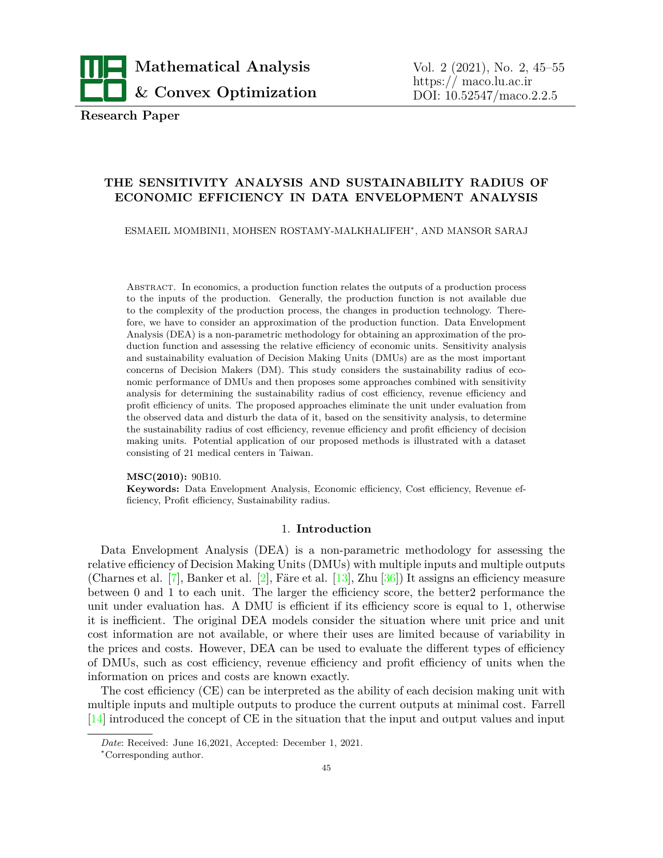

**Research Paper**

# **THE SENSITIVITY ANALYSIS AND SUSTAINABILITY RADIUS OF ECONOMIC EFFICIENCY IN DATA ENVELOPMENT ANALYSIS**

ESMAEIL MOMBINI1, MOHSEN ROSTAMY-MALKHALIFEH*<sup>∗</sup>* , AND MANSOR SARAJ

Abstract. In economics, a production function relates the outputs of a production process to the inputs of the production. Generally, the production function is not available due to the complexity of the production process, the changes in production technology. Therefore, we have to consider an approximation of the production function. Data Envelopment Analysis (DEA) is a non-parametric methodology for obtaining an approximation of the production function and assessing the relative efficiency of economic units. Sensitivity analysis and sustainability evaluation of Decision Making Units (DMUs) are as the most important concerns of Decision Makers (DM). This study considers the sustainability radius of economic performance of DMUs and then proposes some approaches combined with sensitivity analysis for determining the sustainability radius of cost efficiency, revenue efficiency and profit efficiency of units. The proposed approaches eliminate the unit under evaluation from the observed data and disturb the data of it, based on the sensitivity analysis, to determine the sustainability radius of cost efficiency, revenue efficiency and profit efficiency of decision making units. Potential application of our proposed methods is illustrated with a dataset consisting of 21 medical centers in Taiwan.

**MSC(2010):** 90B10.

**Keywords:** Data Envelopment Analysis, Economic efficiency, Cost efficiency, Revenue efficiency, Profit efficiency, Sustainability radius.

## 1. **Introduction**

Data Envelopment Analysis (DEA) is a non-parametric methodology for assessing the relative efficiency of Decision Making Units (DMUs) with multiple inputs and multiple outputs (Charnes et al. [\[7\]](#page-7-0), Banker et al. [\[2\]](#page-6-0), Färe et al. [\[13](#page-7-1)], Zhu [[36\]](#page-9-0)) It assigns an efficiency measure between 0 and 1 to each unit. The larger the efficiency score, the better2 performance the unit under evaluation has. A DMU is efficient if its efficiency score is equal to 1, otherwise it is inefficient. The original DEA models consider the situation where unit price and unit cost information are not available, or where their uses are limited because of variability in the prices and costs. However, DEA can be used to evaluate the different types of efficiency of DMUs, such as cost efficiency, revenue efficiency and profit efficiency of units when the information on prices and costs are known exactly.

The cost efficiency (CE) can be interpreted as the ability of each decision making unit with multiple inputs and multiple outputs to produce the current outputs at minimal cost. Farrell  $[14]$  introduced the concept of CE in the situation that the input and output values and input

*Date*: Received: June 16,2021, Accepted: December 1, 2021.

*<sup>∗</sup>*Corresponding author.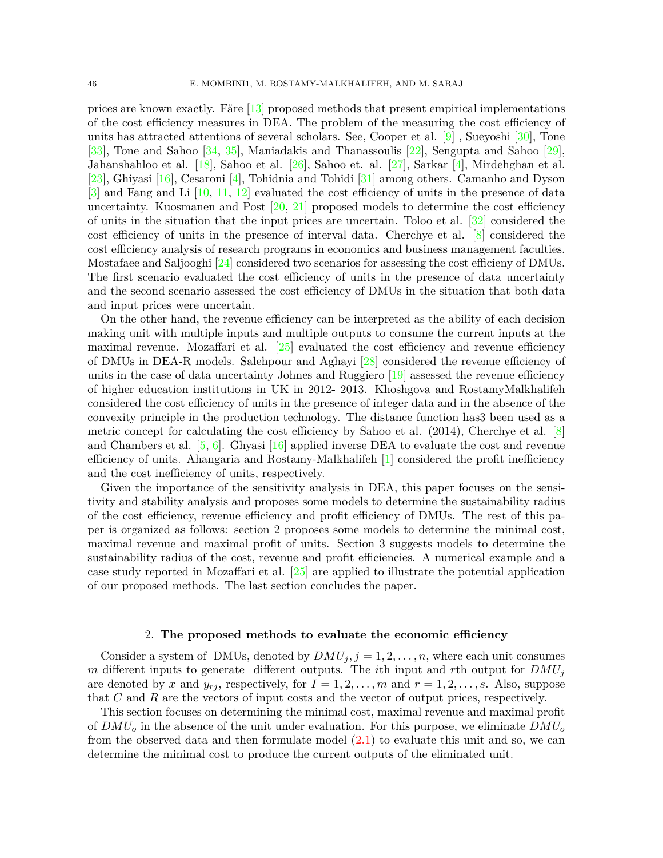prices are known exactly. Färe [[13\]](#page-7-1) proposed methods that present empirical implementations of the cost efficiency measures in DEA. The problem of the measuring the cost efficiency of units has attracted attentions of several scholars. See, Cooper et al.  $[9]$  $[9]$  $[9]$ , Sueyoshi  $[30]$ , Tone [\[33\]](#page-9-2), Tone and Sahoo [\[34](#page-9-3), [35](#page-9-4)], Maniadakis and Thanassoulis [\[22\]](#page-8-0), Sengupta and Sahoo [\[29\]](#page-9-5), Jahanshahloo et al. [[18\]](#page-8-1), Sahoo et al. [[26\]](#page-8-2), Sahoo et. al. [[27](#page-9-6)], Sarkar [[4](#page-7-4)], Mirdehghan et al. [\[23\]](#page-8-3), Ghiyasi [[16\]](#page-8-4), Cesaroni [[4](#page-7-4)], Tohidnia and Tohidi [\[31](#page-9-7)] among others. Camanho and Dyson  $[3]$  $[3]$  and Fang and Li  $[10, 11, 12]$  $[10, 11, 12]$  $[10, 11, 12]$  $[10, 11, 12]$  evaluated the cost efficiency of units in the presence of data uncertainty. Kuosmanen and Post [\[20](#page-8-5), [21](#page-8-6)] proposed models to determine the cost efficiency of units in the situation that the input prices are uncertain. Toloo et al. [[32\]](#page-9-8) considered the cost efficiency of units in the presence of interval data. Cherchye et al. [[8](#page-7-8)] considered the cost efficiency analysis of research programs in economics and business management faculties. Mostafaee and Saljooghi [\[24](#page-8-7)] considered two scenarios for assessing the cost efficieny of DMUs. The first scenario evaluated the cost efficiency of units in the presence of data uncertainty and the second scenario assessed the cost efficiency of DMUs in the situation that both data and input prices were uncertain.

On the other hand, the revenue efficiency can be interpreted as the ability of each decision making unit with multiple inputs and multiple outputs to consume the current inputs at the maximal revenue. Mozaffari et al.  $[25]$  evaluated the cost efficiency and revenue efficiency of DMUs in DEA-R models. Salehpour and Aghayi [[28\]](#page-9-9) considered the revenue efficiency of units in the case of data uncertainty Johnes and Ruggiero  $[19]$  $[19]$  assessed the revenue efficiency of higher education institutions in UK in 2012- 2013. Khoshgova and RostamyMalkhalifeh considered the cost efficiency of units in the presence of integer data and in the absence of the convexity principle in the production technology. The distance function has3 been used as a metric concept for calculating the cost efficiency by Sahoo et al. (2014), Cherchye et al. [[8\]](#page-7-8) and Chambers et al. [[5](#page-7-9), [6\]](#page-7-10). Ghyasi [\[16](#page-8-4)] applied inverse DEA to evaluate the cost and revenue efficiency of units. Ahangaria and Rostamy-Malkhalifeh  $[1]$  considered the profit inefficiency and the cost inefficiency of units, respectively.

Given the importance of the sensitivity analysis in DEA, this paper focuses on the sensitivity and stability analysis and proposes some models to determine the sustainability radius of the cost efficiency, revenue efficiency and profit efficiency of DMUs. The rest of this paper is organized as follows: section 2 proposes some models to determine the minimal cost, maximal revenue and maximal profit of units. Section 3 suggests models to determine the sustainability radius of the cost, revenue and profit efficiencies. A numerical example and a case study reported in Mozaffari et al. [\[25](#page-8-8)] are applied to illustrate the potential application of our proposed methods. The last section concludes the paper.

### 2. **The proposed methods to evaluate the economic efficiency**

Consider a system of DMUs, denoted by  $DMU_j$ ,  $j = 1, 2, ..., n$ , where each unit consumes *m* different inputs to generate different outputs. The *i*th input and *r*th output for *DMU<sup>j</sup>* are denoted by x and  $y_{rj}$ , respectively, for  $I = 1, 2, \ldots, m$  and  $r = 1, 2, \ldots, s$ . Also, suppose that *C* and *R* are the vectors of input costs and the vector of output prices, respectively.

This section focuses on determining the minimal cost, maximal revenue and maximal profit of *DMU<sup>o</sup>* in the absence of the unit under evaluation. For this purpose, we eliminate *DMU<sup>o</sup>* from the observed data and then formulate model  $(2.1)$  $(2.1)$  to evaluate this unit and so, we can determine the minimal cost to produce the current outputs of the eliminated unit.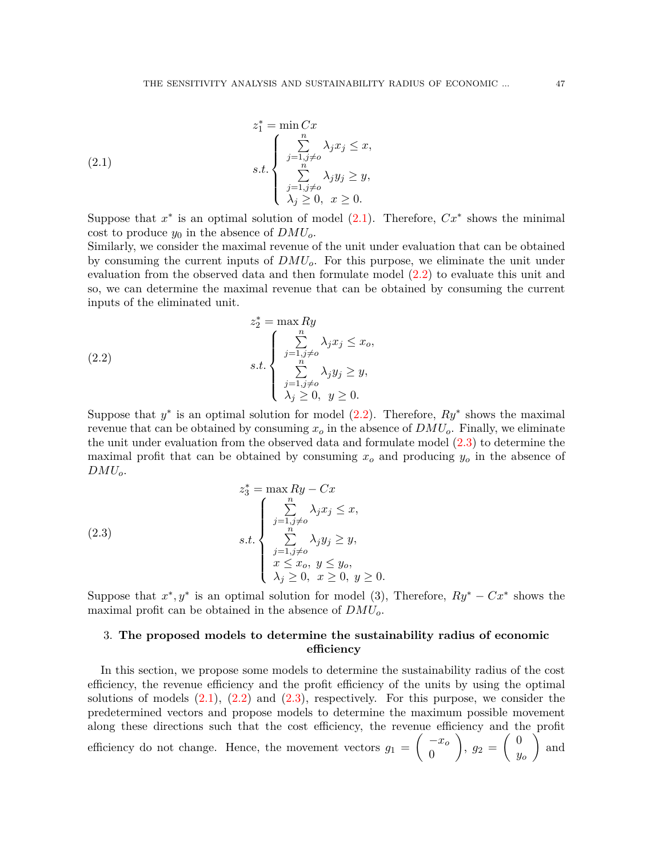<span id="page-2-0"></span>(2.1) 
$$
z_{1}^{*} = \min C x
$$

$$
s.t. \begin{cases} \sum_{j=1, j\neq o}^{n} \lambda_{j} x_{j} \leq x, \\ \sum_{j=1, j\neq o}^{n} \lambda_{j} y_{j} \geq y, \\ \lambda_{j} \geq 0, \ x \geq 0. \end{cases}
$$

Suppose that  $x^*$  is an optimal solution of model  $(2.1)$  $(2.1)$ . Therefore,  $Cx^*$  shows the minimal cost to produce  $y_0$  in the absence of  $DMU_o$ .

Similarly, we consider the maximal revenue of the unit under evaluation that can be obtained by consuming the current inputs of *DMUo*. For this purpose, we eliminate the unit under evaluation from the observed data and then formulate model [\(2.2](#page-2-1)) to evaluate this unit and so, we can determine the maximal revenue that can be obtained by consuming the current inputs of the eliminated unit.

<span id="page-2-1"></span>(2.2) 
$$
z_{2}^{*} = \max Ry
$$

$$
s.t. \begin{cases} \sum_{j=1, j\neq o}^{n} \lambda_{j} x_{j} \leq x_{o}, \\ \sum_{j=1, j\neq o}^{n} \lambda_{j} y_{j} \geq y, \\ \lambda_{j} \geq 0, y \geq 0. \end{cases}
$$

Suppose that  $y^*$  is an optimal solution for model  $(2.2)$  $(2.2)$  $(2.2)$ . Therefore,  $Ry^*$  shows the maximal revenue that can be obtained by consuming  $x<sub>o</sub>$  in the absence of  $DMU<sub>o</sub>$ . Finally, we eliminate the unit under evaluation from the observed data and formulate model [\(2.3](#page-2-2)) to determine the maximal profit that can be obtained by consuming *x<sup>o</sup>* and producing *y<sup>o</sup>* in the absence of *DMUo*.

<span id="page-2-2"></span>(2.3)  

$$
z_3^* = \max Ry - Cx
$$

$$
s.t. \begin{cases} \sum_{j=1, j\neq o}^n \lambda_j x_j \le x, \\ \sum_{j=1, j\neq o}^n \lambda_j y_j \ge y, \\ x \le x_o, y \le y_o, \\ \lambda_j \ge 0, x \ge 0, y \ge 0. \end{cases}
$$

Suppose that  $x^*$ ,  $y^*$  is an optimal solution for model (3), Therefore,  $Ry^* - Cx^*$  shows the maximal profit can be obtained in the absence of *DMUo*.

# 3. **The proposed models to determine the sustainability radius of economic efficiency**

In this section, we propose some models to determine the sustainability radius of the cost efficiency, the revenue efficiency and the profit efficiency of the units by using the optimal solutions of models  $(2.1)$  $(2.1)$ ,  $(2.2)$  $(2.2)$  and  $(2.3)$ , respectively. For this purpose, we consider the predetermined vectors and propose models to determine the maximum possible movement along these directions such that the cost efficiency, the revenue efficiency and the profit efficiency do not change. Hence, the movement vectors  $g_1 =$ ( *−x<sup>o</sup>* 0  $\setminus$  $, g_2 =$ ( 0 *yo*  $\sqrt{ }$ and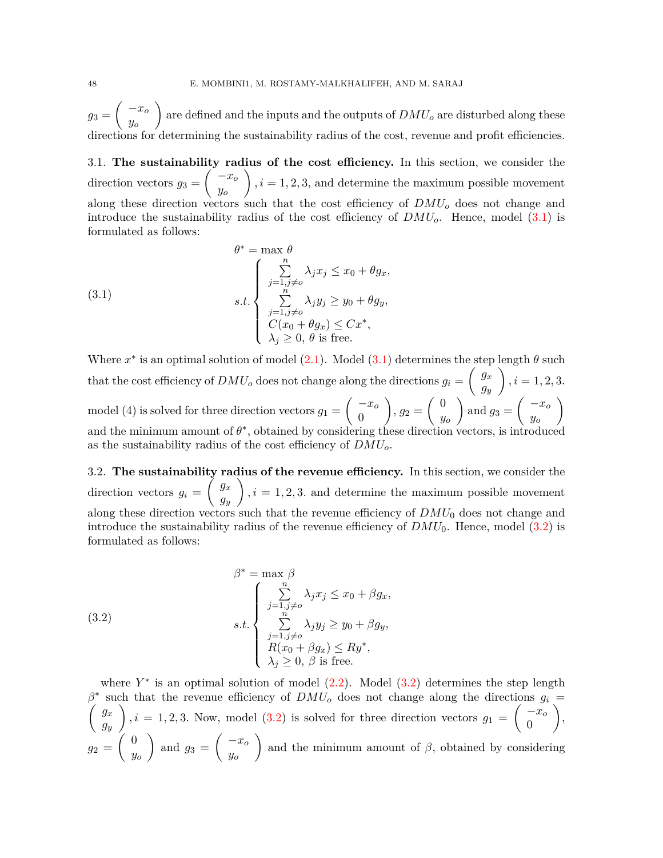$g_3 =$ ( *−x<sup>o</sup> yo*  $\setminus$ are defined and the inputs and the outputs of *DMU<sup>o</sup>* are disturbed along these directions for determining the sustainability radius of the cost, revenue and profit efficiencies.

3.1. **The sustainability radius of the cost efficiency.** In this section, we consider the  $\text{direction vectors } g_3 =$  $\int$ <sup>*-xo*</sub></sup> *yo*  $\setminus$  $i, i = 1, 2, 3$ , and determine the maximum possible movement along these direction vectors such that the cost efficiency of *DMU<sup>o</sup>* does not change and introduce the sustainability radius of the cost efficiency of *DMUo*. Hence, model ([3.1\)](#page-3-0) is formulated as follows:

<span id="page-3-0"></span>(3.1)  

$$
\theta^* = \max \theta
$$

$$
s.t. \begin{cases} \sum_{j=1, j\neq o}^n \lambda_j x_j \le x_0 + \theta g_x, \\ \sum_{j=1, j\neq o}^n \lambda_j y_j \ge y_0 + \theta g_y, \\ C(x_0 + \theta g_x) \le Cx^*, \\ \lambda_j \ge 0, \theta \text{ is free.} \end{cases}
$$

Where  $x^*$  is an optimal solution of model  $(2.1)$  $(2.1)$ . Model  $(3.1)$  $(3.1)$  determines the step length  $\theta$  such that the cost efficiency of  $DMU<sub>o</sub>$  does not change along the directions  $g<sub>i</sub>$  =  $\int g_x$ *gy*  $\setminus$  $i = 1, 2, 3.$ model (4) is solved for three direction vectors  $g_1 =$ ( *−x<sup>o</sup>* 0  $\setminus$  $, g_2 =$ ( 0 *yo*  $\setminus$ and  $g_3 =$ ( *−x<sup>o</sup> yo*  $\setminus$ and the minimum amount of  $\theta^*$ , obtained by considering these direction vectors, is introduced as the sustainability radius of the cost efficiency of *DMUo*.

3.2. **The sustainability radius of the revenue efficiency.** In this section, we consider the  $\text{direction vectors } g_i =$  $\int g_x$ *gy*  $\setminus$  $i = 1, 2, 3$  and determine the maximum possible movement along these direction vectors such that the revenue efficiency of  $DMU_0$  does not change and introduce the sustainability radius of the revenue efficiency of  $DMU_0$ . Hence, model ([3.2\)](#page-3-1) is formulated as follows:

<span id="page-3-1"></span>(3.2)  

$$
\beta^* = \max_{j} \beta
$$

$$
s.t. \begin{cases} \sum_{j=1, j\neq o}^n \lambda_j x_j \le x_0 + \beta g_x, \\ \sum_{j=1, j\neq o}^n \lambda_j y_j \ge y_0 + \beta g_y, \\ R(x_0 + \beta g_x) \le Ry^*, \\ \lambda_j \ge 0, \ \beta \text{ is free.} \end{cases}
$$

where  $Y^*$  is an optimal solution of model  $(2.2)$  $(2.2)$ . Model  $(3.2)$  $(3.2)$  determines the step length *β ∗* ( such that the revenue efficiency of  $DMU<sub>o</sub>$  does not change along the directions  $g<sub>i</sub>$  = *gx gy*  $\setminus$  $i, i = 1, 2, 3$ . Now, model  $(3.2)$  $(3.2)$  is solved for three direction vectors  $g_1 =$ ( *−x<sup>o</sup>* 0  $\setminus$ ,  $g_2 =$  $($  0 *yo*  $\setminus$ and  $g_3 =$ ( *−x<sup>o</sup> yo*  $\setminus$ and the minimum amount of  $\beta$ , obtained by considering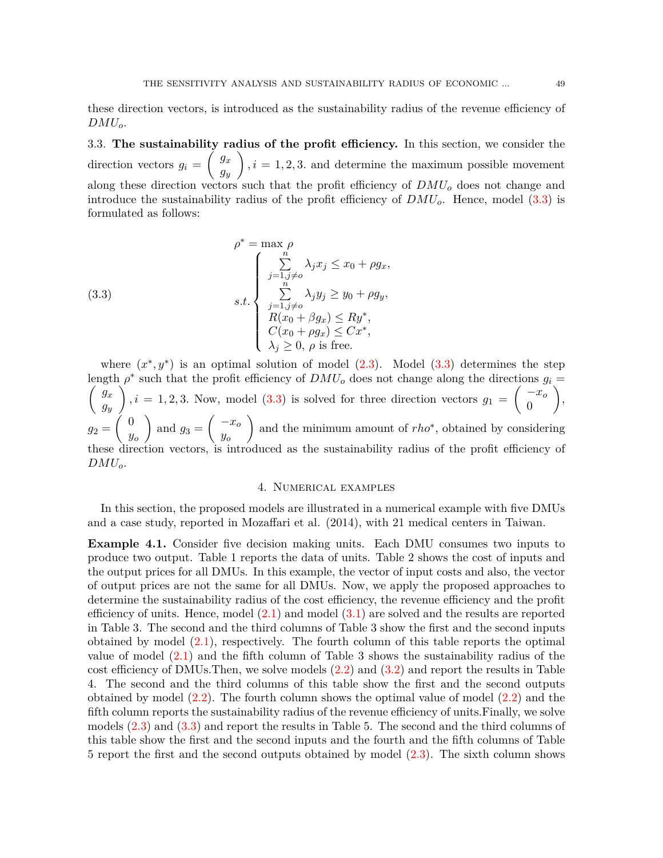these direction vectors, is introduced as the sustainability radius of the revenue efficiency of *DMUo*.

3.3. **The sustainability radius of the profit efficiency.** In this section, we consider the  $\text{direction vectors } g_i =$  $\int$ *g*<sub>x</sub> *gy*  $\setminus$  $i = 1, 2, 3$  and determine the maximum possible movement along these direction vectors such that the profit efficiency of *DMU<sup>o</sup>* does not change and introduce the sustainability radius of the profit efficiency of *DMUo*. Hence, model [\(3.3](#page-4-0)) is formulated as follows:

<span id="page-4-0"></span>(3.3)  

$$
\rho^* = \max \rho
$$

$$
s.t. \begin{cases} \sum_{j=1, j\neq o}^n \lambda_j x_j \le x_0 + \rho g_x, \\ \sum_{j=1, j\neq o}^n \lambda_j y_j \ge y_0 + \rho g_y, \\ R(x_0 + \beta g_x) \le R y^*, \\ C(x_0 + \rho g_x) \le C x^*, \\ \lambda_j \ge 0, \rho \text{ is free.} \end{cases}
$$

where  $(x^*, y^*)$  is an optimal solution of model  $(2.3)$ . Model  $(3.3)$  $(3.3)$  determines the step length *ρ ∗*  $\sqrt{ }$ such that the profit efficiency of  $DMU<sub>o</sub>$  does not change along the directions  $g<sub>i</sub>$  = *gx gy*  $\Delta$  $i, i = 1, 2, 3$ . Now, model  $(3.3)$  $(3.3)$  is solved for three direction vectors  $g_1 =$ ( *−x<sup>o</sup>* 0  $\setminus$ ,  $g_2 =$  $($  0 *yo*  $\setminus$ and  $g_3 =$ ( *−x<sup>o</sup> yo*  $\setminus$ and the minimum amount of *rho∗* , obtained by considering these direction vectors, is introduced as the sustainability radius of the profit efficiency of *DMUo*.

## 4. Numerical examples

In this section, the proposed models are illustrated in a numerical example with five DMUs and a case study, reported in Mozaffari et al. (2014), with 21 medical centers in Taiwan.

**Example 4.1.** Consider five decision making units. Each DMU consumes two inputs to produce two output. Table 1 reports the data of units. Table 2 shows the cost of inputs and the output prices for all DMUs. In this example, the vector of input costs and also, the vector of output prices are not the same for all DMUs. Now, we apply the proposed approaches to determine the sustainability radius of the cost efficiency, the revenue efficiency and the profit efficiency of units. Hence, model  $(2.1)$  $(2.1)$  and model  $(3.1)$  $(3.1)$  are solved and the results are reported in Table 3. The second and the third columns of Table 3 show the first and the second inputs obtained by model ([2.1](#page-2-0)), respectively. The fourth column of this table reports the optimal value of model  $(2.1)$  $(2.1)$  and the fifth column of Table 3 shows the sustainability radius of the cost efficiency of DMUs. Then, we solve models  $(2.2)$  $(2.2)$  and  $(3.2)$  $(3.2)$  and report the results in Table 4. The second and the third columns of this table show the first and the second outputs obtained by model [\(2.2](#page-2-1)). The fourth column shows the optimal value of model ([2.2\)](#page-2-1) and the fifth column reports the sustainability radius of the revenue efficiency of units.Finally, we solve models [\(2.3](#page-2-2)) and ([3.3\)](#page-4-0) and report the results in Table 5. The second and the third columns of this table show the first and the second inputs and the fourth and the fifth columns of Table 5 report the first and the second outputs obtained by model [\(2.3](#page-2-2)). The sixth column shows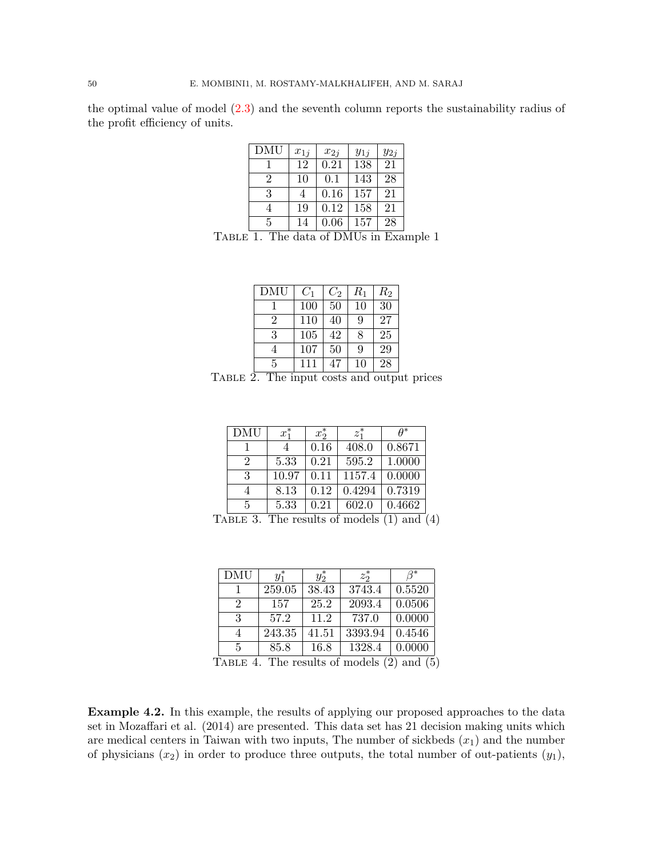the optimal value of model [\(2.3](#page-2-2)) and the seventh column reports the sustainability radius of the profit efficiency of units.

| <b>DMU</b> | $x_{1j}$ | $x_{2j}$ | $y_{1j}$ | $y_{2j}$ |
|------------|----------|----------|----------|----------|
|            | 12       | 0.21     | 138      | 21       |
| 2          | 10       | 0.1      | 143      | 28       |
| 3          | 4        | 0.16     | 157      | 21       |
|            | 19       | 0.12     | 158      | 21       |
| 5          | 14       | 0.06     | 157      | 28       |

Table 1. The data of DMUs in Example 1

| DMU            | $C_1$ | $C_2$ | $R_1$ | $R_{\rm 2}$ |
|----------------|-------|-------|-------|-------------|
|                | 100   | 50    | 10    | 30          |
| $\overline{2}$ | 110   | 40    | 9     | 27          |
| 3              | 105   | 42    | 8     | 25          |
|                | 107   | 50    | 9     | 29          |
| 5              | 111   | 47    | 10    | 28          |

Table 2. The input costs and output prices

| <b>DMU</b>     | $x_1^*$ | $x_2^*$ | $z_1^*$ | $A^*$  |
|----------------|---------|---------|---------|--------|
|                |         | 0.16    | 408.0   | 0.8671 |
| $\overline{2}$ | 5.33    | 0.21    | 595.2   | 1.0000 |
| -3             | 10.97   | 0.11    | 1157.4  | 0.0000 |
| 4              | 8.13    | 0.12    | 0.4294  | 0.7319 |
| .5             | 5.33    | 0.21    | 602.0   | 0.4662 |

TABLE 3. The results of models  $(1)$  and  $(4)$ 

| <b>DMU</b>    | $y_1^*$      | $y_2^*$          | $z_2^*$ | $\mathcal{A}^*$ |
|---------------|--------------|------------------|---------|-----------------|
|               | 259.05       | 38.43            | 3743.4  | 0.5520          |
| $\mathcal{D}$ | 157          | 25.2             | 2093.4  | 0.0506          |
| 3             | 57.2         | 11.2             | 737.0   | 0.0000          |
|               | 243.35       | 41.51            | 3393.94 | 0.4546          |
| 5             | 85.8         | 16.8             | 1328.4  | 0.0000          |
|               | $\mathbf{m}$ | $\epsilon$<br>п. | , ,     | $\sqrt{2}$      |

TABLE 4. The results of models  $(2)$  and  $(5)$ 

**Example 4.2.** In this example, the results of applying our proposed approaches to the data set in Mozaffari et al. (2014) are presented. This data set has 21 decision making units which are medical centers in Taiwan with two inputs, The number of sickbeds  $(x_1)$  and the number of physicians  $(x_2)$  in order to produce three outputs, the total number of out-patients  $(y_1)$ ,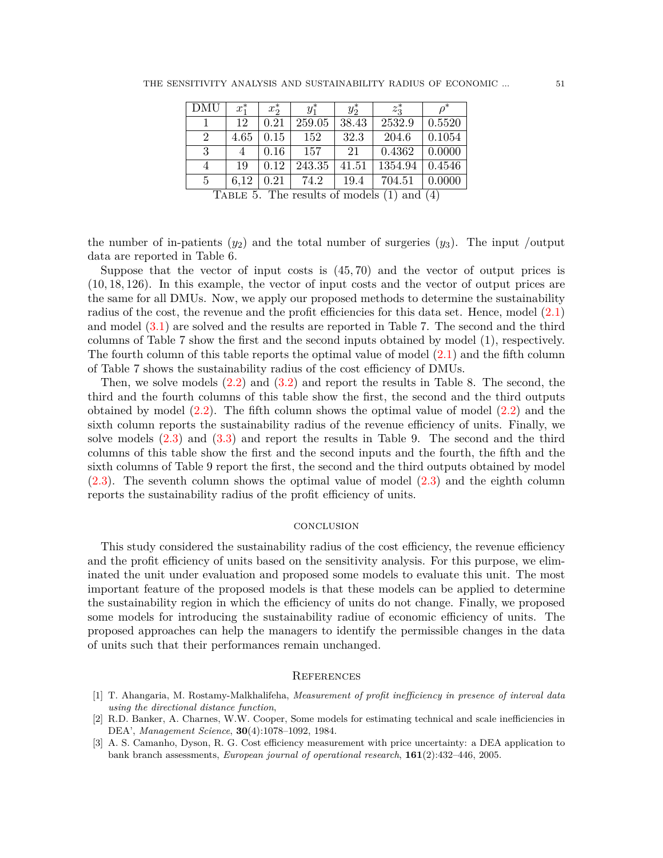| <b>DMU</b>     | $x_1^*$ | $x_2^*$ | $y_1^*$ | $y_2^*$ | $z_3^*$                                                                                                                                                                                                                                                                                                                                                                                                                                                                                    |                      |
|----------------|---------|---------|---------|---------|--------------------------------------------------------------------------------------------------------------------------------------------------------------------------------------------------------------------------------------------------------------------------------------------------------------------------------------------------------------------------------------------------------------------------------------------------------------------------------------------|----------------------|
|                | 12      | 0.21    | 259.05  | 38.43   | 2532.9                                                                                                                                                                                                                                                                                                                                                                                                                                                                                     | 0.5520               |
| $\overline{2}$ | 4.65    | 0.15    | 152     | 32.3    | 204.6                                                                                                                                                                                                                                                                                                                                                                                                                                                                                      | 0.1054               |
| 3              |         | 0.16    | 157     | 21      | 0.4362                                                                                                                                                                                                                                                                                                                                                                                                                                                                                     | 0.0000               |
| 4              | 19      | 0.12    | 243.35  | 41.51   | 1354.94                                                                                                                                                                                                                                                                                                                                                                                                                                                                                    | 0.4546               |
| 5              | 6.12    | 0.21    | 74.2    | 19.4    | 704.51                                                                                                                                                                                                                                                                                                                                                                                                                                                                                     | 0.0000               |
|                |         | ---     |         | $\sim$  | $\blacksquare$ $\blacksquare$ $\blacksquare$ $\blacksquare$ $\blacksquare$ $\blacksquare$ $\blacksquare$ $\blacksquare$ $\blacksquare$ $\blacksquare$ $\blacksquare$ $\blacksquare$ $\blacksquare$ $\blacksquare$ $\blacksquare$ $\blacksquare$ $\blacksquare$ $\blacksquare$ $\blacksquare$ $\blacksquare$ $\blacksquare$ $\blacksquare$ $\blacksquare$ $\blacksquare$ $\blacksquare$ $\blacksquare$ $\blacksquare$ $\blacksquare$ $\blacksquare$ $\blacksquare$ $\blacksquare$ $\blacks$ | $\sim$ $\sim$ $\sim$ |

TABLE 5. The results of models (1) and (4)

the number of in-patients  $(y_2)$  and the total number of surgeries  $(y_3)$ . The input /output data are reported in Table 6.

Suppose that the vector of input costs is (45*,* 70) and the vector of output prices is (10*,* 18*,* 126). In this example, the vector of input costs and the vector of output prices are the same for all DMUs. Now, we apply our proposed methods to determine the sustainability radius of the cost, the revenue and the profit efficiencies for this data set. Hence, model  $(2.1)$  $(2.1)$ and model [\(3.1](#page-3-0)) are solved and the results are reported in Table 7. The second and the third columns of Table 7 show the first and the second inputs obtained by model (1), respectively. The fourth column of this table reports the optimal value of model ([2.1\)](#page-2-0) and the fifth column of Table 7 shows the sustainability radius of the cost efficiency of DMUs.

Then, we solve models [\(2.2](#page-2-1)) and [\(3.2](#page-3-1)) and report the results in Table 8. The second, the third and the fourth columns of this table show the first, the second and the third outputs obtained by model [\(2.2](#page-2-1)). The fifth column shows the optimal value of model ([2.2\)](#page-2-1) and the sixth column reports the sustainability radius of the revenue efficiency of units. Finally, we solve models ([2.3\)](#page-2-2) and [\(3.3](#page-4-0)) and report the results in Table 9. The second and the third columns of this table show the first and the second inputs and the fourth, the fifth and the sixth columns of Table 9 report the first, the second and the third outputs obtained by model [\(2.3](#page-2-2)). The seventh column shows the optimal value of model [\(2.3\)](#page-2-2) and the eighth column reports the sustainability radius of the profit efficiency of units.

### **CONCLUSION**

This study considered the sustainability radius of the cost efficiency, the revenue efficiency and the profit efficiency of units based on the sensitivity analysis. For this purpose, we eliminated the unit under evaluation and proposed some models to evaluate this unit. The most important feature of the proposed models is that these models can be applied to determine the sustainability region in which the efficiency of units do not change. Finally, we proposed some models for introducing the sustainability radiue of economic efficiency of units. The proposed approaches can help the managers to identify the permissible changes in the data of units such that their performances remain unchanged.

### **REFERENCES**

- <span id="page-6-2"></span>[1] T. Ahangaria, M. Rostamy-Malkhalifeha, *Measurement of profit inefficiency in presence of interval data using the directional distance function*,
- <span id="page-6-0"></span>[2] R.D. Banker, A. Charnes, W.W. Cooper, Some models for estimating technical and scale inefficiencies in DEA', *Management Science*, **30**(4):1078–1092, 1984.
- <span id="page-6-1"></span>[3] A. S. Camanho, Dyson, R. G. Cost efficiency measurement with price uncertainty: a DEA application to bank branch assessments, *European journal of operational research*, **161**(2):432–446, 2005.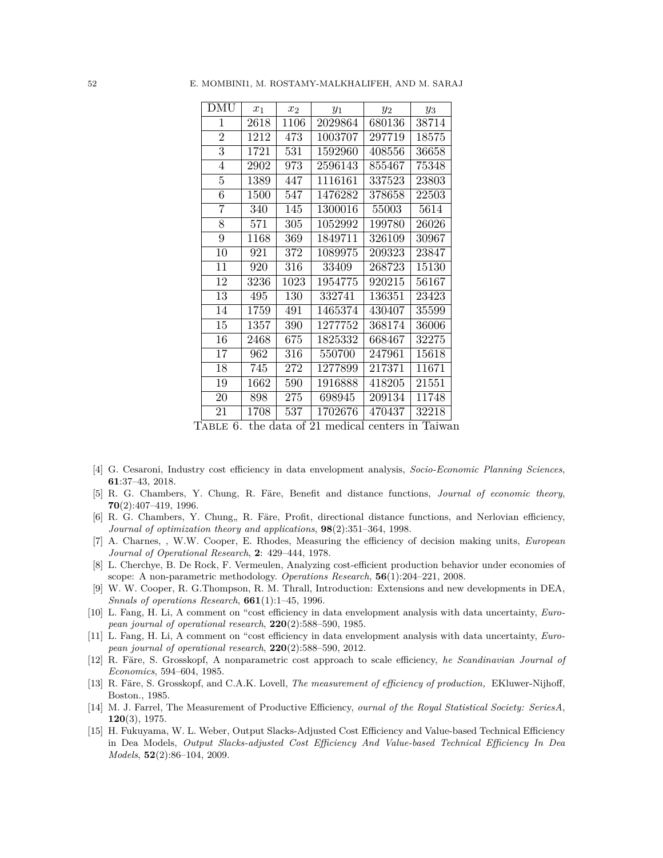| DMU                       | $x_1$ | $x_2$ | $y_1$                                         | $y_2$  | $y_3$                 |
|---------------------------|-------|-------|-----------------------------------------------|--------|-----------------------|
| 1                         | 2618  | 1106  | 2029864                                       | 680136 | 38714                 |
| $\overline{2}$            | 1212  | 473   | 1003707                                       | 297719 | 18575                 |
| $\overline{3}$            | 1721  | 531   | 1592960                                       | 408556 | 36658                 |
| 4                         | 2902  | 973   | 2596143                                       | 855467 | 75348                 |
| 5                         | 1389  | 447   | 1116161                                       | 337523 | 23803                 |
| 6                         | 1500  | 547   | 1476282                                       | 378658 | 22503                 |
| 7                         | 340   | 145   | 1300016                                       | 55003  | 5614                  |
| 8                         | 571   | 305   | 1052992                                       | 199780 | 26026                 |
| 9                         | 1168  | 369   | 1849711                                       | 326109 | 30967                 |
| 10                        | 921   | 372   | 1089975                                       | 209323 | 23847                 |
| 11                        | 920   | 316   | 33409                                         | 268723 | 15130                 |
| 12                        | 3236  | 1023  | 1954775                                       | 920215 | 56167                 |
| 13                        | 495   | 130   | 332741                                        | 136351 | 23423                 |
| 14                        | 1759  | 491   | 1465374                                       | 430407 | 35599                 |
| 15                        | 1357  | 390   | 1277752                                       | 368174 | 36006                 |
| 16                        | 2468  | 675   | 1825332                                       | 668467 | 32275                 |
| 17                        | 962   | 316   | 550700                                        | 247961 | 15618                 |
| 18                        | 745   | 272   | 1277899                                       | 217371 | 11671                 |
| 19                        | 1662  | 590   | 1916888                                       | 418205 | 21551                 |
| 20                        | 898   | 275   | 698945                                        | 209134 | 11748                 |
| 21<br>$\lambda$ pr m<br>c | 1708  | 537   | 1702676<br>the data of $91$ modical contom in | 470437 | 32218<br>$\mathbf{T}$ |

52 E. MOMBINI1, M. ROSTAMY-MALKHALIFEH, AND M. SARAJ

Table 6. the data of 21 medical centers in Taiwan

- <span id="page-7-4"></span>[4] G. Cesaroni, Industry cost efficiency in data envelopment analysis, *Socio-Economic Planning Sciences*, **61**:37–43, 2018.
- <span id="page-7-9"></span>[5] R. G. Chambers, Y. Chung, R. Färe, Benefit and distance functions, *Journal of economic theory*, **70**(2):407–419, 1996.
- <span id="page-7-10"></span>[6] R. G. Chambers, Y. Chung, R. Färe, Profit, directional distance functions, and Nerlovian efficiency, *Journal of optimization theory and applications*, **98**(2):351–364, 1998.
- <span id="page-7-0"></span>[7] A. Charnes, , W.W. Cooper, E. Rhodes, Measuring the efficiency of decision making units, *European Journal of Operational Research*, **2**: 429–444, 1978.
- <span id="page-7-8"></span>[8] L. Cherchye, B. De Rock, F. Vermeulen, Analyzing cost-efficient production behavior under economies of scope: A non-parametric methodology. *Operations Research*, **56**(1):204–221, 2008.
- <span id="page-7-3"></span>[9] W. W. Cooper, R. G.Thompson, R. M. Thrall, Introduction: Extensions and new developments in DEA, *Snnals of operations Research*, **661**(1):1–45, 1996.
- <span id="page-7-5"></span>[10] L. Fang, H. Li, A comment on "cost efficiency in data envelopment analysis with data uncertainty, *European journal of operational research*, **220**(2):588–590, 1985.
- <span id="page-7-6"></span>[11] L. Fang, H. Li, A comment on "cost efficiency in data envelopment analysis with data uncertainty, *European journal of operational research*, **220**(2):588–590, 2012.
- <span id="page-7-7"></span>[12] R. Färe, S. Grosskopf, A nonparametric cost approach to scale efficiency, *he Scandinavian Journal of Economics*, 594–604, 1985.
- <span id="page-7-1"></span>[13] R. Färe, S. Grosskopf, and C.A.K. Lovell, *The measurement of efficiency of production,* EKluwer-Nijhoff, Boston., 1985.
- <span id="page-7-2"></span>[14] M. J. Farrel, The Measurement of Productive Efficiency, *ournal of the Royal Statistical Society: SeriesA*, **120**(3), 1975.
- [15] H. Fukuyama, W. L. Weber, Output Slacks-Adjusted Cost Efficiency and Value-based Technical Efficiency in Dea Models, *Output Slacks-adjusted Cost Efficiency And Value-based Technical Efficiency In Dea Models*, **52**(2):86–104, 2009.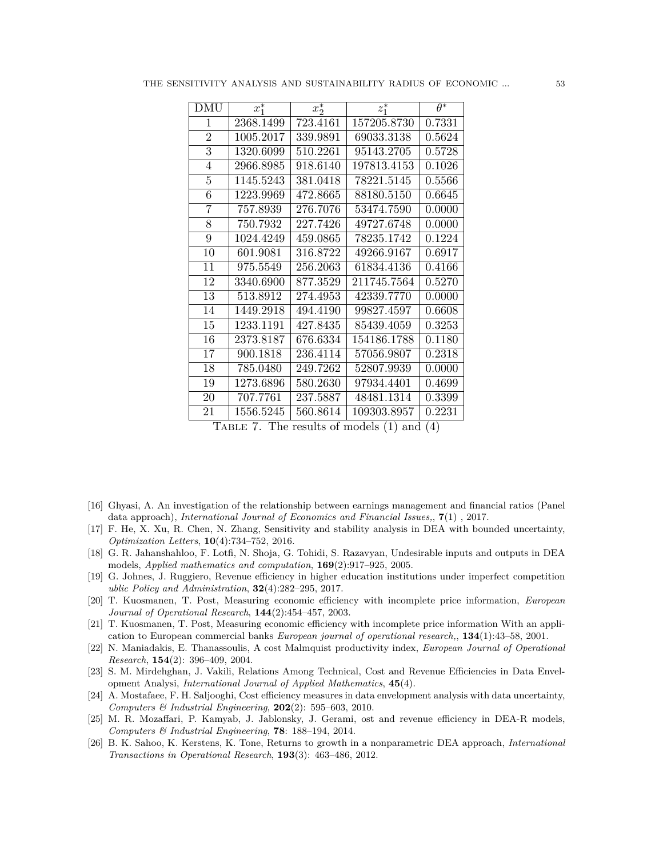| <b>DMU</b>     | $x_1^*$   | $x_2^*$  | $\overline{z_1^*}$ | $\overline{\theta^*}$ |
|----------------|-----------|----------|--------------------|-----------------------|
| 1              | 2368.1499 | 723.4161 | 157205.8730        | 0.7331                |
| $\overline{2}$ | 1005.2017 | 339.9891 | 69033.3138         | 0.5624                |
| $\overline{3}$ | 1320.6099 | 510.2261 | 95143.2705         | 0.5728                |
| 4              | 2966.8985 | 918.6140 | 197813.4153        | 0.1026                |
| $\overline{5}$ | 1145.5243 | 381.0418 | 78221.5145         | 0.5566                |
| 6              | 1223.9969 | 472.8665 | 88180.5150         | 0.6645                |
| 7              | 757.8939  | 276.7076 | 53474.7590         | 0.0000                |
| $\overline{8}$ | 750.7932  | 227.7426 | 49727.6748         | 0.0000                |
| 9              | 1024.4249 | 459.0865 | 78235.1742         | 0.1224                |
| 10             | 601.9081  | 316.8722 | 49266.9167         | 0.6917                |
| 11             | 975.5549  | 256.2063 | 61834.4136         | 0.4166                |
| 12             | 3340.6900 | 877.3529 | 211745.7564        | 0.5270                |
| 13             | 513.8912  | 274.4953 | 42339.7770         | 0.0000                |
| 14             | 1449.2918 | 494.4190 | 99827.4597         | 0.6608                |
| 15             | 1233.1191 | 427.8435 | 85439.4059         | 0.3253                |
| 16             | 2373.8187 | 676.6334 | 154186.1788        | 0.1180                |
| 17             | 900.1818  | 236.4114 | 57056.9807         | 0.2318                |
| 18             | 785.0480  | 249.7262 | 52807.9939         | 0.0000                |
| 19             | 1273.6896 | 580.2630 | 97934.4401         | 0.4699                |
| 20             | 707.7761  | 237.5887 | 48481.1314         | 0.3399                |
| 21             | 1556.5245 | 560.8614 | 109303.8957        | 0.2231                |

TABLE 7. The results of models  $(1)$  and  $(4)$ 

- <span id="page-8-4"></span>[16] Ghyasi, A. An investigation of the relationship between earnings management and financial ratios (Panel data approach), *International Journal of Economics and Financial Issues,*, **7**(1) , 2017.
- [17] F. He, X. Xu, R. Chen, N. Zhang, Sensitivity and stability analysis in DEA with bounded uncertainty, *Optimization Letters*, **10**(4):734–752, 2016.
- <span id="page-8-1"></span>[18] G. R. Jahanshahloo, F. Lotfi, N. Shoja, G. Tohidi, S. Razavyan, Undesirable inputs and outputs in DEA models, *Applied mathematics and computation*, **169**(2):917–925, 2005.
- <span id="page-8-9"></span>[19] G. Johnes, J. Ruggiero, Revenue efficiency in higher education institutions under imperfect competition *ublic Policy and Administration*, **32**(4):282–295, 2017.
- <span id="page-8-5"></span>[20] T. Kuosmanen, T. Post, Measuring economic efficiency with incomplete price information, *European Journal of Operational Research*, **144**(2):454–457, 2003.
- <span id="page-8-6"></span>[21] T. Kuosmanen, T. Post, Measuring economic efficiency with incomplete price information With an application to European commercial banks *European journal of operational research,*, **134**(1):43–58, 2001.
- <span id="page-8-0"></span>[22] N. Maniadakis, E. Thanassoulis, A cost Malmquist productivity index, *European Journal of Operational Research*, **154**(2): 396–409, 2004.
- <span id="page-8-3"></span>[23] S. M. Mirdehghan, J. Vakili, Relations Among Technical, Cost and Revenue Efficiencies in Data Envelopment Analysi, *International Journal of Applied Mathematics*, **45**(4).
- <span id="page-8-7"></span>[24] A. Mostafaee, F. H. Saljooghi, Cost efficiency measures in data envelopment analysis with data uncertainty, *Computers & Industrial Engineering*, **202**(2): 595–603, 2010.
- <span id="page-8-8"></span>[25] M. R. Mozaffari, P. Kamyab, J. Jablonsky, J. Gerami, ost and revenue efficiency in DEA-R models, *Computers & Industrial Engineering*, **78**: 188–194, 2014.
- <span id="page-8-2"></span>[26] B. K. Sahoo, K. Kerstens, K. Tone, Returns to growth in a nonparametric DEA approach, *International Transactions in Operational Research*, **193**(3): 463–486, 2012.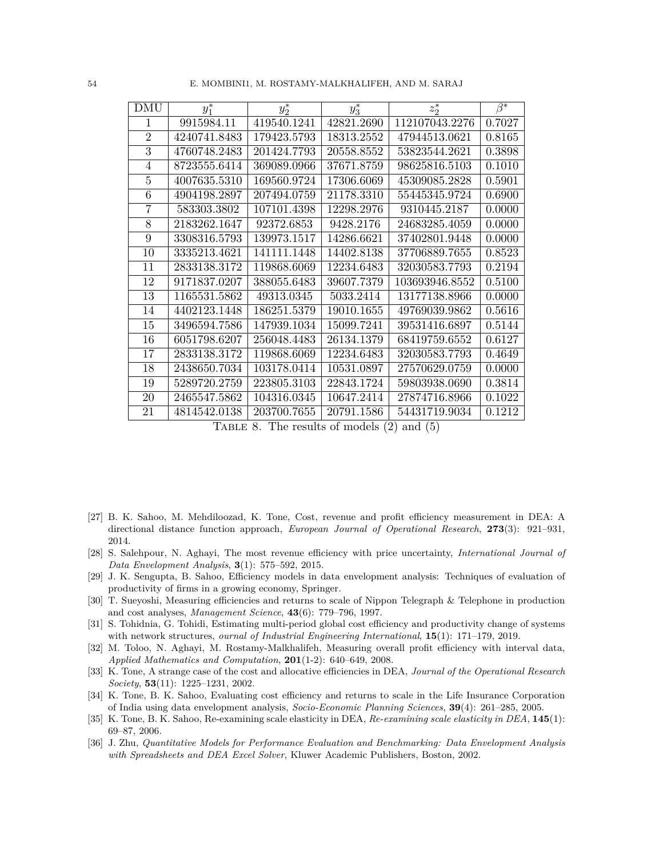| 54 |  |  | E. MOMBINI1, M. ROSTAMY-MALKHALIFEH, AND M. SARAJ |  |
|----|--|--|---------------------------------------------------|--|
|----|--|--|---------------------------------------------------|--|

| <b>DMU</b>     | $y_1^*$      | $y_2^*$     | $y_3^*$    | $z_2^*$        | $\beta^*$ |
|----------------|--------------|-------------|------------|----------------|-----------|
| 1              | 9915984.11   | 419540.1241 | 42821.2690 | 112107043.2276 | 0.7027    |
| $\overline{2}$ | 4240741.8483 | 179423.5793 | 18313.2552 | 47944513.0621  | 0.8165    |
| 3              | 4760748.2483 | 201424.7793 | 20558.8552 | 53823544.2621  | 0.3898    |
| 4              | 8723555.6414 | 369089.0966 | 37671.8759 | 98625816.5103  | 0.1010    |
| 5              | 4007635.5310 | 169560.9724 | 17306.6069 | 45309085.2828  | 0.5901    |
| 6              | 4904198.2897 | 207494.0759 | 21178.3310 | 55445345.9724  | 0.6900    |
| 7              | 583303.3802  | 107101.4398 | 12298.2976 | 9310445.2187   | 0.0000    |
| 8              | 2183262.1647 | 92372.6853  | 9428.2176  | 24683285.4059  | 0.0000    |
| 9              | 3308316.5793 | 139973.1517 | 14286.6621 | 37402801.9448  | 0.0000    |
| 10             | 3335213.4621 | 141111.1448 | 14402.8138 | 37706889.7655  | 0.8523    |
| 11             | 2833138.3172 | 119868.6069 | 12234.6483 | 32030583.7793  | 0.2194    |
| 12             | 9171837.0207 | 388055.6483 | 39607.7379 | 103693946.8552 | 0.5100    |
| 13             | 1165531.5862 | 49313.0345  | 5033.2414  | 13177138.8966  | 0.0000    |
| 14             | 4402123.1448 | 186251.5379 | 19010.1655 | 49769039.9862  | 0.5616    |
| 15             | 3496594.7586 | 147939.1034 | 15099.7241 | 39531416.6897  | 0.5144    |
| 16             | 6051798.6207 | 256048.4483 | 26134.1379 | 68419759.6552  | 0.6127    |
| 17             | 2833138.3172 | 119868.6069 | 12234.6483 | 32030583.7793  | 0.4649    |
| 18             | 2438650.7034 | 103178.0414 | 10531.0897 | 27570629.0759  | 0.0000    |
| 19             | 5289720.2759 | 223805.3103 | 22843.1724 | 59803938.0690  | 0.3814    |
| 20             | 2465547.5862 | 104316.0345 | 10647.2414 | 27874716.8966  | 0.1022    |
| 21             | 4814542.0138 | 203700.7655 | 20791.1586 | 54431719.9034  | 0.1212    |

TABLE 8. The results of models  $(2)$  and  $(5)$ 

- <span id="page-9-6"></span>[27] B. K. Sahoo, M. Mehdiloozad, K. Tone, Cost, revenue and profit efficiency measurement in DEA: A directional distance function approach, *European Journal of Operational Research*, **273**(3): 921–931, 2014.
- <span id="page-9-9"></span>[28] S. Salehpour, N. Aghayi, The most revenue efficiency with price uncertainty, *International Journal of Data Envelopment Analysis*, **3**(1): 575–592, 2015.
- <span id="page-9-5"></span>[29] J. K. Sengupta, B. Sahoo, Efficiency models in data envelopment analysis: Techniques of evaluation of productivity of firms in a growing economy, Springer.
- <span id="page-9-1"></span>[30] T. Sueyoshi, Measuring efficiencies and returns to scale of Nippon Telegraph & Telephone in production and cost analyses, *Management Science*, **43**(6): 779–796, 1997.
- <span id="page-9-7"></span>[31] S. Tohidnia, G. Tohidi, Estimating multi-period global cost efficiency and productivity change of systems with network structures, *ournal of Industrial Engineering International*, **15**(1): 171–179, 2019.
- <span id="page-9-8"></span>[32] M. Toloo, N. Aghayi, M. Rostamy-Malkhalifeh, Measuring overall profit efficiency with interval data, *Applied Mathematics and Computation*, **201**(1-2): 640–649, 2008.
- <span id="page-9-2"></span>[33] K. Tone, A strange case of the cost and allocative efficiencies in DEA, *Journal of the Operational Research Society*, **53**(11): 1225–1231, 2002.
- <span id="page-9-3"></span>[34] K. Tone, B. K. Sahoo, Evaluating cost efficiency and returns to scale in the Life Insurance Corporation of India using data envelopment analysis, *Socio-Economic Planning Sciences*, **39**(4): 261–285, 2005.
- <span id="page-9-4"></span>[35] K. Tone, B. K. Sahoo, Re-examining scale elasticity in DEA, *Re-examining scale elasticity in DEA*, **145**(1): 69–87, 2006.
- <span id="page-9-0"></span>[36] J. Zhu, *Quantitative Models for Performance Evaluation and Benchmarking: Data Envelopment Analysis with Spreadsheets and DEA Excel Solver*, Kluwer Academic Publishers, Boston, 2002.